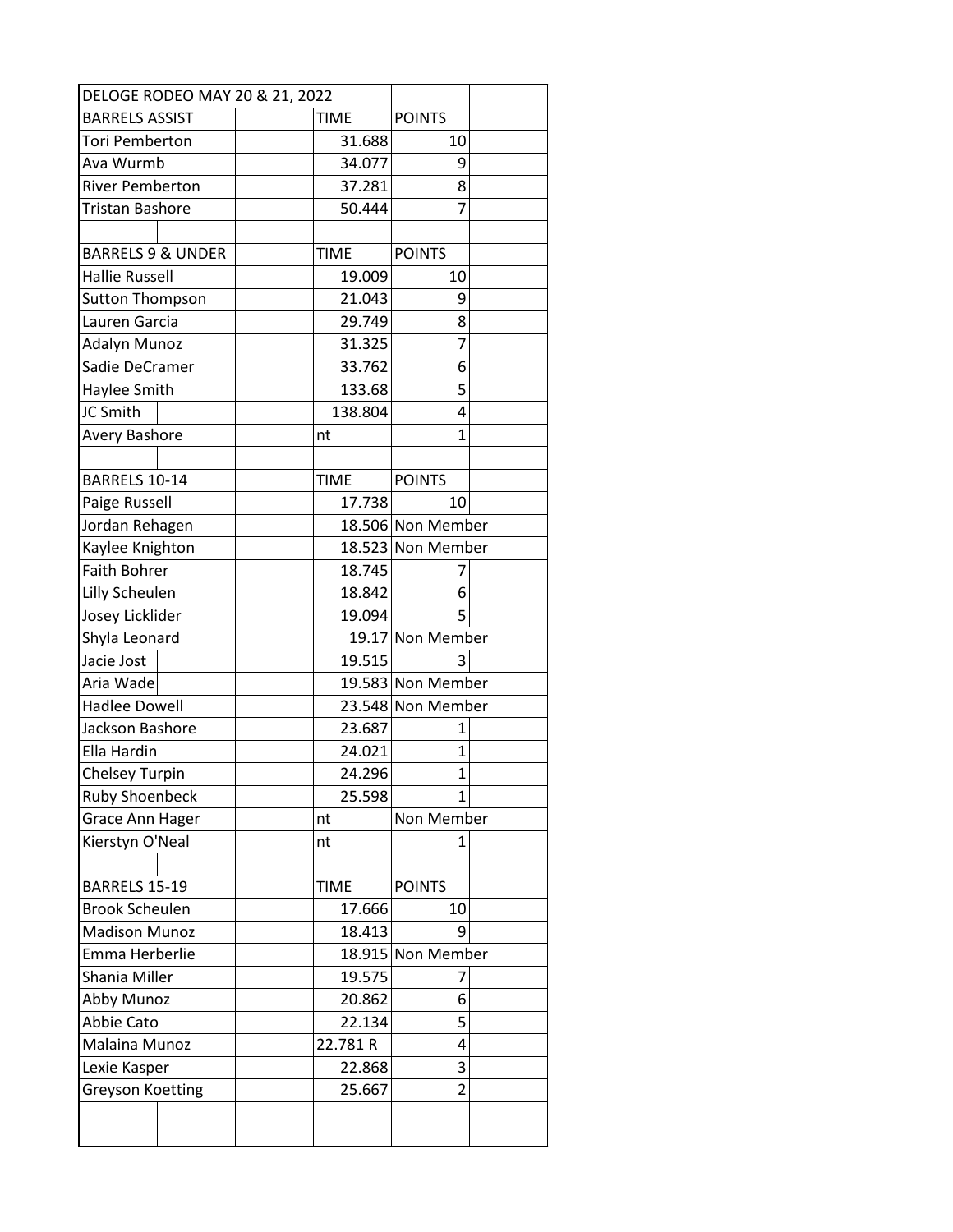|                              | DELOGE RODEO MAY 20 & 21, 2022 |             |               |                   |  |  |
|------------------------------|--------------------------------|-------------|---------------|-------------------|--|--|
| <b>BARRELS ASSIST</b>        |                                |             | <b>TIME</b>   | <b>POINTS</b>     |  |  |
| Tori Pemberton               |                                |             | 31.688        | 10                |  |  |
| Ava Wurmb                    |                                |             | 34.077        | 9                 |  |  |
| <b>River Pemberton</b>       |                                |             | 37.281        | 8                 |  |  |
| Tristan Bashore              |                                |             | 50.444        | 7                 |  |  |
|                              |                                |             |               |                   |  |  |
| <b>BARRELS 9 &amp; UNDER</b> |                                | <b>TIME</b> | <b>POINTS</b> |                   |  |  |
| <b>Hallie Russell</b>        |                                |             | 19.009        | 10                |  |  |
| <b>Sutton Thompson</b>       |                                |             | 21.043        | 9                 |  |  |
| Lauren Garcia                |                                |             | 29.749        | 8                 |  |  |
| Adalyn Munoz                 |                                |             | 31.325        |                   |  |  |
| Sadie DeCramer               |                                |             | 33.762        | 6                 |  |  |
| Haylee Smith                 |                                |             | 133.68        | 5                 |  |  |
| JC Smith                     |                                |             | 138.804       | 4                 |  |  |
| Avery Bashore                |                                |             | nt            | $\mathbf{1}$      |  |  |
|                              |                                |             |               |                   |  |  |
| BARRELS 10-14                |                                |             | <b>TIME</b>   | <b>POINTS</b>     |  |  |
| Paige Russell                |                                |             | 17.738        | 10                |  |  |
| Jordan Rehagen               |                                |             |               | 18.506 Non Member |  |  |
| Kaylee Knighton              |                                |             |               | 18.523 Non Member |  |  |
| <b>Faith Bohrer</b>          |                                |             | 18.745        | 7                 |  |  |
| Lilly Scheulen               |                                |             | 18.842        | 6                 |  |  |
| Josey Licklider              |                                |             | 19.094        | 5                 |  |  |
| Shyla Leonard                |                                |             |               | 19.17 Non Member  |  |  |
| Jacie Jost                   |                                |             | 19.515        | 3                 |  |  |
| Aria Wade                    |                                |             |               | 19.583 Non Member |  |  |
| <b>Hadlee Dowell</b>         |                                |             |               | 23.548 Non Member |  |  |
| Jackson Bashore              |                                |             | 23.687        | 1                 |  |  |
| Ella Hardin                  |                                |             | 24.021        | $\mathbf{1}$      |  |  |
| <b>Chelsey Turpin</b>        |                                |             | 24.296        | 1                 |  |  |
| <b>Ruby Shoenbeck</b>        |                                |             | 25.598        | 1                 |  |  |
| <b>Grace Ann Hager</b>       |                                |             | nt            | Non Member        |  |  |
| Kierstyn O'Neal              |                                |             | nt            | 1                 |  |  |
|                              |                                |             |               |                   |  |  |
| BARRELS 15-19                |                                |             | <b>TIME</b>   | <b>POINTS</b>     |  |  |
| <b>Brook Scheulen</b>        |                                |             | 17.666        | 10                |  |  |
| <b>Madison Munoz</b>         |                                |             | 18.413        | 9                 |  |  |
| Emma Herberlie               |                                |             |               | 18.915 Non Member |  |  |
| Shania Miller                |                                |             | 19.575        | 7                 |  |  |
| Abby Munoz                   |                                | 20.862      | 6             |                   |  |  |
| Abbie Cato                   |                                |             | 22.134        | 5                 |  |  |
| Malaina Munoz                |                                |             | 22.781 R      | 4                 |  |  |
| Lexie Kasper                 |                                |             | 22.868        | 3                 |  |  |
| <b>Greyson Koetting</b>      |                                |             | 25.667        | $\overline{2}$    |  |  |
|                              |                                |             |               |                   |  |  |
|                              |                                |             |               |                   |  |  |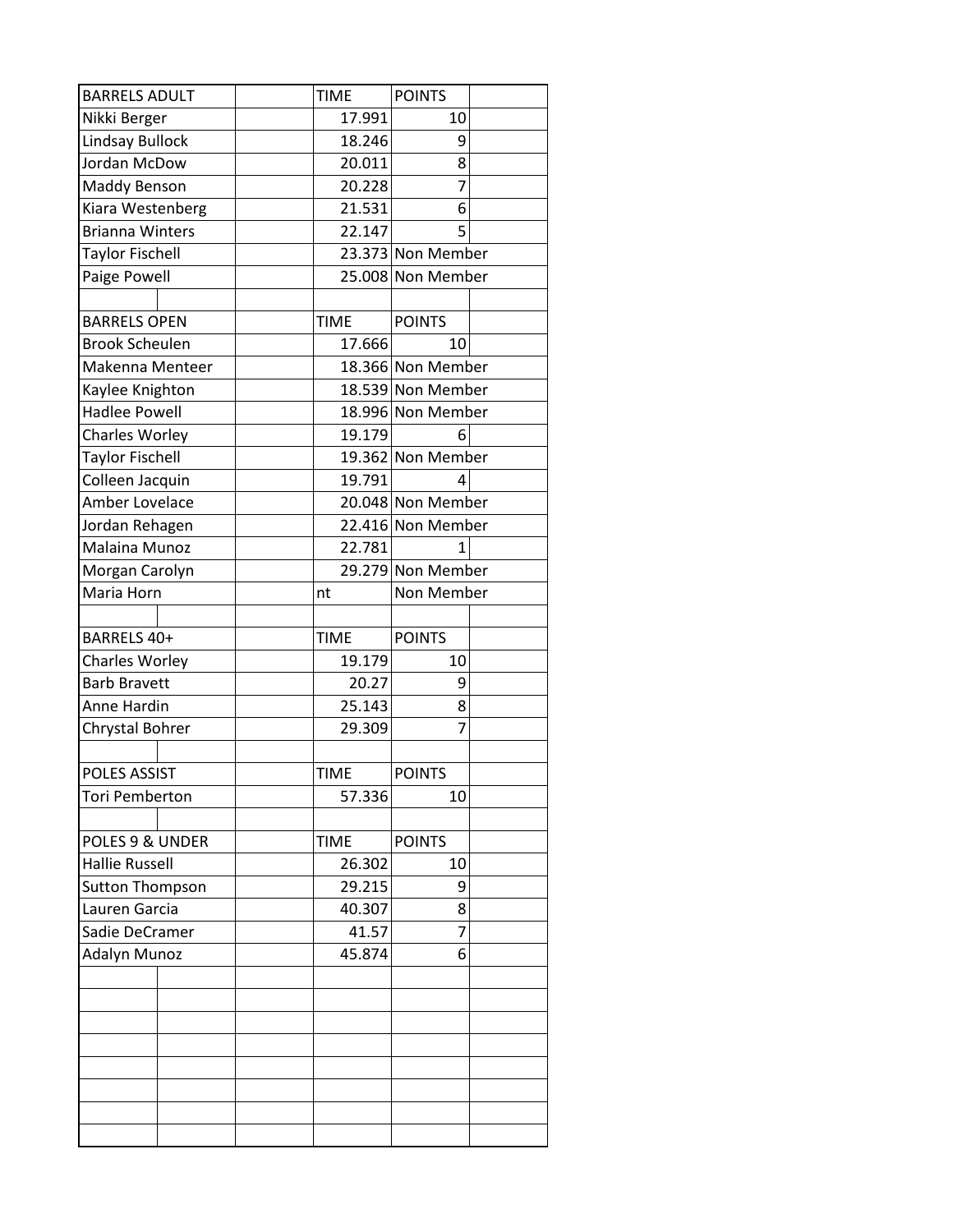|                        | <b>TIME</b> | <b>POINTS</b>     |  |
|------------------------|-------------|-------------------|--|
| Nikki Berger           | 17.991      | 10                |  |
| <b>Lindsay Bullock</b> | 18.246      | 9                 |  |
| Jordan McDow           | 20.011      | 8                 |  |
| Maddy Benson           | 20.228      | 7                 |  |
| Kiara Westenberg       | 21.531      | 6                 |  |
| <b>Brianna Winters</b> | 22.147      | 5                 |  |
| <b>Taylor Fischell</b> |             | 23.373 Non Member |  |
| Paige Powell           |             | 25.008 Non Member |  |
|                        |             |                   |  |
| <b>BARRELS OPEN</b>    | <b>TIME</b> | <b>POINTS</b>     |  |
| <b>Brook Scheulen</b>  | 17.666      | 10                |  |
| Makenna Menteer        |             | 18.366 Non Member |  |
| Kaylee Knighton        |             | 18.539 Non Member |  |
| <b>Hadlee Powell</b>   |             | 18.996 Non Member |  |
| Charles Worley         | 19.179      | 6                 |  |
| <b>Taylor Fischell</b> |             | 19.362 Non Member |  |
| Colleen Jacquin        | 19.791      | 4                 |  |
| Amber Lovelace         |             | 20.048 Non Member |  |
| Jordan Rehagen         |             | 22.416 Non Member |  |
| Malaina Munoz          | 22.781      | 1                 |  |
| Morgan Carolyn         |             | 29.279 Non Member |  |
| Maria Horn             | nt          | Non Member        |  |
|                        |             |                   |  |
| BARRELS 40+            | <b>TIME</b> | <b>POINTS</b>     |  |
| Charles Worley         | 19.179      | 10                |  |
|                        |             | 9                 |  |
| <b>Barb Bravett</b>    | 20.27       |                   |  |
| Anne Hardin            | 25.143      | 8                 |  |
| Chrystal Bohrer        | 29.309      | 7                 |  |
|                        |             |                   |  |
| <b>POLES ASSIST</b>    | <b>TIME</b> | <b>POINTS</b>     |  |
| <b>Tori Pemberton</b>  | 57.336      | 10                |  |
|                        |             |                   |  |
| POLES 9 & UNDER        | <b>TIME</b> | <b>POINTS</b>     |  |
| <b>Hallie Russell</b>  | 26.302      | 10                |  |
| <b>Sutton Thompson</b> | 29.215      | 9                 |  |
| Lauren Garcia          | 40.307      | 8                 |  |
| Sadie DeCramer         | 41.57       | 7                 |  |
| Adalyn Munoz           | 45.874      | 6                 |  |
|                        |             |                   |  |
|                        |             |                   |  |
|                        |             |                   |  |
|                        |             |                   |  |
|                        |             |                   |  |
|                        |             |                   |  |
|                        |             |                   |  |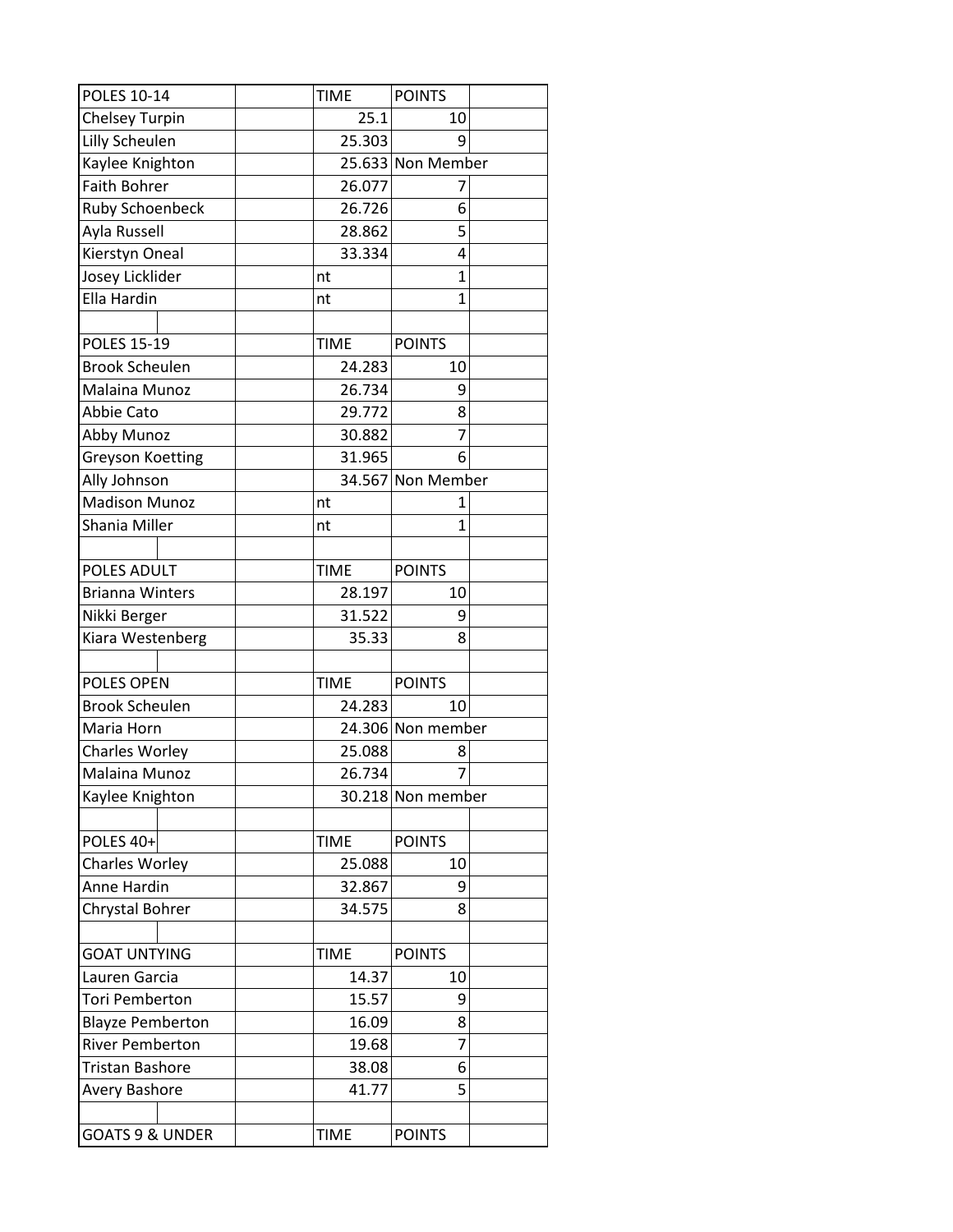| <b>POLES 10-14</b>         | <b>TIME</b> | <b>POINTS</b>     |  |
|----------------------------|-------------|-------------------|--|
| <b>Chelsey Turpin</b>      | 25.1        | 10                |  |
| Lilly Scheulen             | 25.303      | 9                 |  |
| Kaylee Knighton            |             | 25.633 Non Member |  |
| <b>Faith Bohrer</b>        | 26.077      | 7                 |  |
| <b>Ruby Schoenbeck</b>     | 26.726      | 6                 |  |
| Ayla Russell               | 28.862      | 5                 |  |
| Kierstyn Oneal             | 33.334      | 4                 |  |
| Josey Licklider            | nt          | $\mathbf{1}$      |  |
| Ella Hardin                | nt          | 1                 |  |
|                            |             |                   |  |
| <b>POLES 15-19</b>         | <b>TIME</b> | <b>POINTS</b>     |  |
| <b>Brook Scheulen</b>      | 24.283      | 10                |  |
| Malaina Munoz              | 26.734      | 9                 |  |
| Abbie Cato                 | 29.772      | 8                 |  |
| Abby Munoz                 | 30.882      | 7                 |  |
| <b>Greyson Koetting</b>    | 31.965      | 6                 |  |
| Ally Johnson               |             | 34.567 Non Member |  |
| <b>Madison Munoz</b>       | nt          | 1                 |  |
| Shania Miller              | nt          | 1                 |  |
|                            |             |                   |  |
| POLES ADULT                | <b>TIME</b> | <b>POINTS</b>     |  |
| <b>Brianna Winters</b>     | 28.197      | 10                |  |
| Nikki Berger               | 31.522      | 9                 |  |
| Kiara Westenberg           | 35.33       | 8                 |  |
|                            |             |                   |  |
| POLES OPEN                 | <b>TIME</b> | <b>POINTS</b>     |  |
| <b>Brook Scheulen</b>      | 24.283      | 10                |  |
| Maria Horn                 |             | 24.306 Non member |  |
| <b>Charles Worley</b>      | 25.088      | 8                 |  |
| Malaina Munoz              | 26.734      | 7                 |  |
| Kaylee Knighton            |             | 30.218 Non member |  |
|                            |             |                   |  |
| POLES 40+                  | <b>TIME</b> | <b>POINTS</b>     |  |
| Charles Worley             | 25.088      | 10                |  |
| Anne Hardin                | 32.867      | 9                 |  |
| Chrystal Bohrer            | 34.575      | 8                 |  |
|                            |             |                   |  |
| <b>GOAT UNTYING</b>        | <b>TIME</b> | <b>POINTS</b>     |  |
| Lauren Garcia              | 14.37       | 10                |  |
| <b>Tori Pemberton</b>      | 15.57       | 9                 |  |
| <b>Blayze Pemberton</b>    | 16.09       | 8                 |  |
| <b>River Pemberton</b>     | 19.68       | 7                 |  |
| Tristan Bashore            | 38.08       | 6                 |  |
| Avery Bashore              | 41.77       | 5                 |  |
|                            |             |                   |  |
| <b>GOATS 9 &amp; UNDER</b> | <b>TIME</b> | <b>POINTS</b>     |  |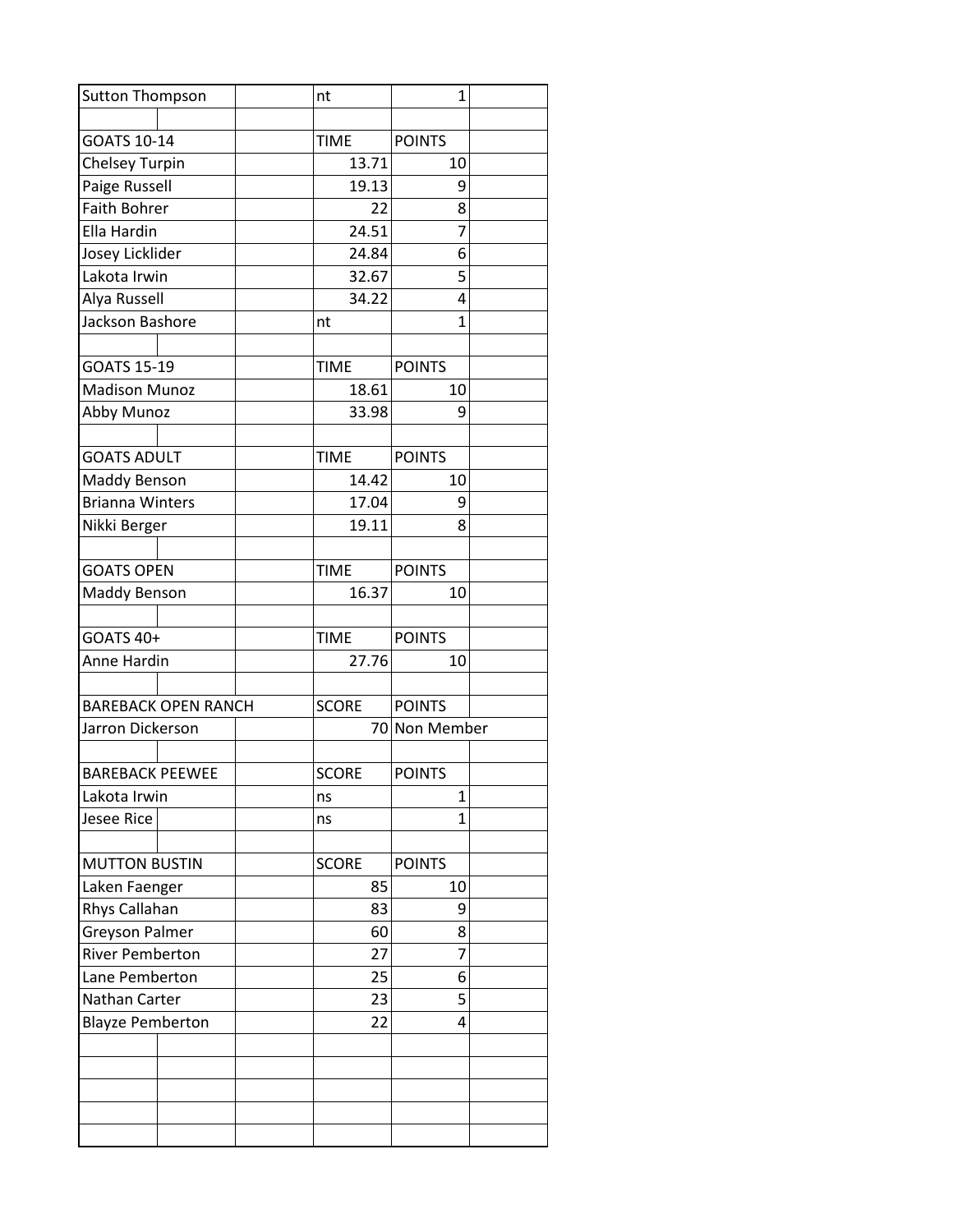| <b>Sutton Thompson</b>  |                            | nt           | 1              |  |
|-------------------------|----------------------------|--------------|----------------|--|
|                         |                            |              |                |  |
| GOATS 10-14             |                            | <b>TIME</b>  | <b>POINTS</b>  |  |
| <b>Chelsey Turpin</b>   |                            | 13.71        | 10             |  |
| Paige Russell           |                            | 19.13        | 9              |  |
| <b>Faith Bohrer</b>     |                            | 22           | 8              |  |
| Ella Hardin             |                            | 24.51        | $\overline{7}$ |  |
| Josey Licklider         |                            | 24.84        | 6              |  |
| Lakota Irwin            |                            | 32.67        | 5              |  |
| Alya Russell            |                            | 34.22        | 4              |  |
| Jackson Bashore         |                            | nt           | 1              |  |
| GOATS 15-19             |                            | <b>TIME</b>  | <b>POINTS</b>  |  |
| <b>Madison Munoz</b>    |                            | 18.61        | 10             |  |
| Abby Munoz              |                            | 33.98        | 9              |  |
|                         |                            |              |                |  |
| <b>GOATS ADULT</b>      |                            | <b>TIME</b>  | <b>POINTS</b>  |  |
| <b>Maddy Benson</b>     |                            | 14.42        | 10             |  |
| <b>Brianna Winters</b>  |                            | 17.04        | 9              |  |
| Nikki Berger            |                            | 19.11        | 8              |  |
|                         |                            |              |                |  |
| <b>GOATS OPEN</b>       |                            | <b>TIME</b>  | <b>POINTS</b>  |  |
| Maddy Benson            |                            | 16.37        | 10             |  |
|                         |                            |              |                |  |
| GOATS 40+               |                            | <b>TIME</b>  | <b>POINTS</b>  |  |
| Anne Hardin             |                            | 27.76        | 10             |  |
|                         |                            |              |                |  |
|                         | <b>BAREBACK OPEN RANCH</b> | <b>SCORE</b> | <b>POINTS</b>  |  |
| Jarron Dickerson        |                            |              | 70 Non Member  |  |
|                         |                            |              |                |  |
| <b>BAREBACK PEEWEE</b>  |                            | <b>SCORE</b> | <b>POINTS</b>  |  |
| Lakota Irwin            |                            | ns           | 1              |  |
| <b>Jesee Rice</b>       |                            | ns           | 1              |  |
|                         |                            |              |                |  |
| <b>MUTTON BUSTIN</b>    |                            | <b>SCORE</b> | <b>POINTS</b>  |  |
| Laken Faenger           |                            | 85           | 10             |  |
| Rhys Callahan           |                            | 83           | 9              |  |
| <b>Greyson Palmer</b>   |                            | 60           | 8              |  |
| <b>River Pemberton</b>  |                            | 27           | 7              |  |
| Lane Pemberton          |                            | 25           | 6              |  |
| Nathan Carter           |                            | 23           | 5              |  |
| <b>Blayze Pemberton</b> |                            | 22           | 4              |  |
|                         |                            |              |                |  |
|                         |                            |              |                |  |
|                         |                            |              |                |  |
|                         |                            |              |                |  |
|                         |                            |              |                |  |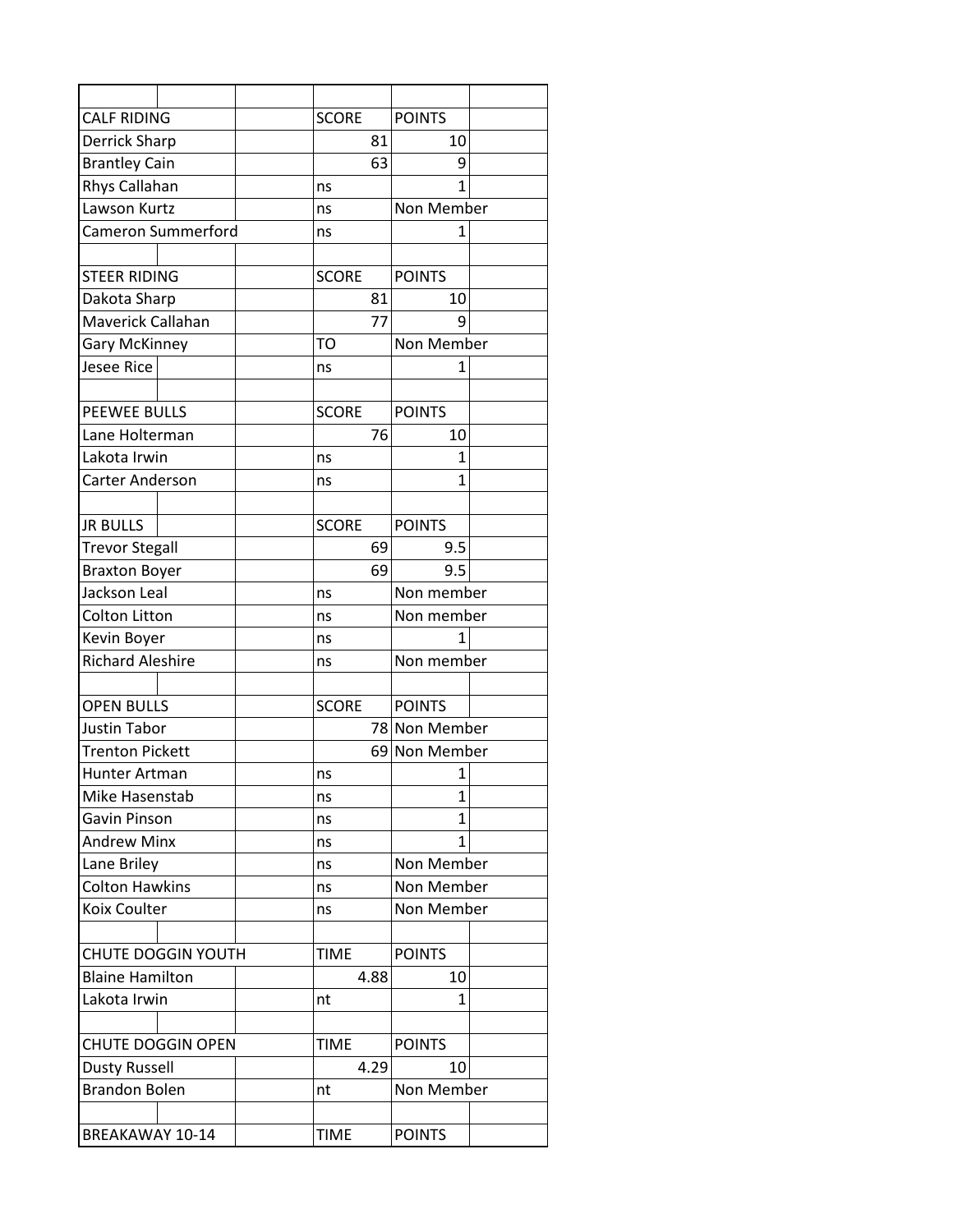| <b>CALF RIDING</b>                   |  | <b>SCORE</b> |      | <b>POINTS</b>   |  |
|--------------------------------------|--|--------------|------|-----------------|--|
| Derrick Sharp                        |  |              | 81   | 10              |  |
| <b>Brantley Cain</b>                 |  |              | 63   | 9               |  |
| Rhys Callahan                        |  | ns           |      | 1               |  |
| Lawson Kurtz                         |  | ns           |      | Non Member      |  |
| Cameron Summerford                   |  | ns           |      | $\mathbf{1}$    |  |
|                                      |  |              |      |                 |  |
| <b>STEER RIDING</b>                  |  | <b>SCORE</b> |      | <b>POINTS</b>   |  |
| Dakota Sharp                         |  |              | 81   | 10              |  |
| Maverick Callahan                    |  |              | 77   | q               |  |
| <b>Gary McKinney</b>                 |  | TO           |      | Non Member      |  |
| <b>Jesee Rice</b>                    |  | ns           |      | 1               |  |
|                                      |  |              |      |                 |  |
| <b>PEEWEE BULLS</b>                  |  | <b>SCORE</b> |      | <b>POINTS</b>   |  |
| Lane Holterman                       |  |              | 76   | 10              |  |
| Lakota Irwin                         |  | ns           |      | 1               |  |
| Carter Anderson                      |  | ns           |      | 1               |  |
|                                      |  |              |      |                 |  |
| <b>JR BULLS</b>                      |  | <b>SCORE</b> |      | <b>POINTS</b>   |  |
| <b>Trevor Stegall</b>                |  |              | 69   | 9.5             |  |
| <b>Braxton Boyer</b>                 |  |              | 69   | 9.5             |  |
| Jackson Leal                         |  | ns           |      | Non member      |  |
| <b>Colton Litton</b>                 |  | ns           |      | Non member      |  |
| Kevin Boyer                          |  | ns           |      | 1               |  |
| <b>Richard Aleshire</b>              |  | ns           |      | Non member      |  |
|                                      |  |              |      |                 |  |
| <b>OPEN BULLS</b>                    |  | <b>SCORE</b> |      | <b>POINTS</b>   |  |
| <b>Justin Tabor</b>                  |  |              |      | 78 Non Member   |  |
| <b>Trenton Pickett</b>               |  |              |      | 69 Non Member   |  |
| Hunter Artman                        |  | ns           |      | 1               |  |
| Mike Hasenstab                       |  | ns           |      | 1               |  |
| Gavin Pinson                         |  | ns           |      | $\mathbf{1}$    |  |
| <b>Andrew Minx</b>                   |  | ns           |      | 1<br>Non Member |  |
| Lane Briley<br><b>Colton Hawkins</b> |  | ns           |      | Non Member      |  |
|                                      |  | ns           |      |                 |  |
| Koix Coulter                         |  | ns           |      | Non Member      |  |
| <b>CHUTE DOGGIN YOUTH</b>            |  | <b>TIME</b>  |      | <b>POINTS</b>   |  |
| <b>Blaine Hamilton</b>               |  |              | 4.88 | 10              |  |
| Lakota Irwin                         |  | nt           |      | 1               |  |
| <b>CHUTE DOGGIN OPEN</b>             |  | <b>TIME</b>  |      | <b>POINTS</b>   |  |
| Dusty Russell                        |  |              | 4.29 | 10              |  |
| <b>Brandon Bolen</b>                 |  | nt           |      | Non Member      |  |
|                                      |  |              |      |                 |  |
| BREAKAWAY 10-14                      |  | <b>TIME</b>  |      | <b>POINTS</b>   |  |